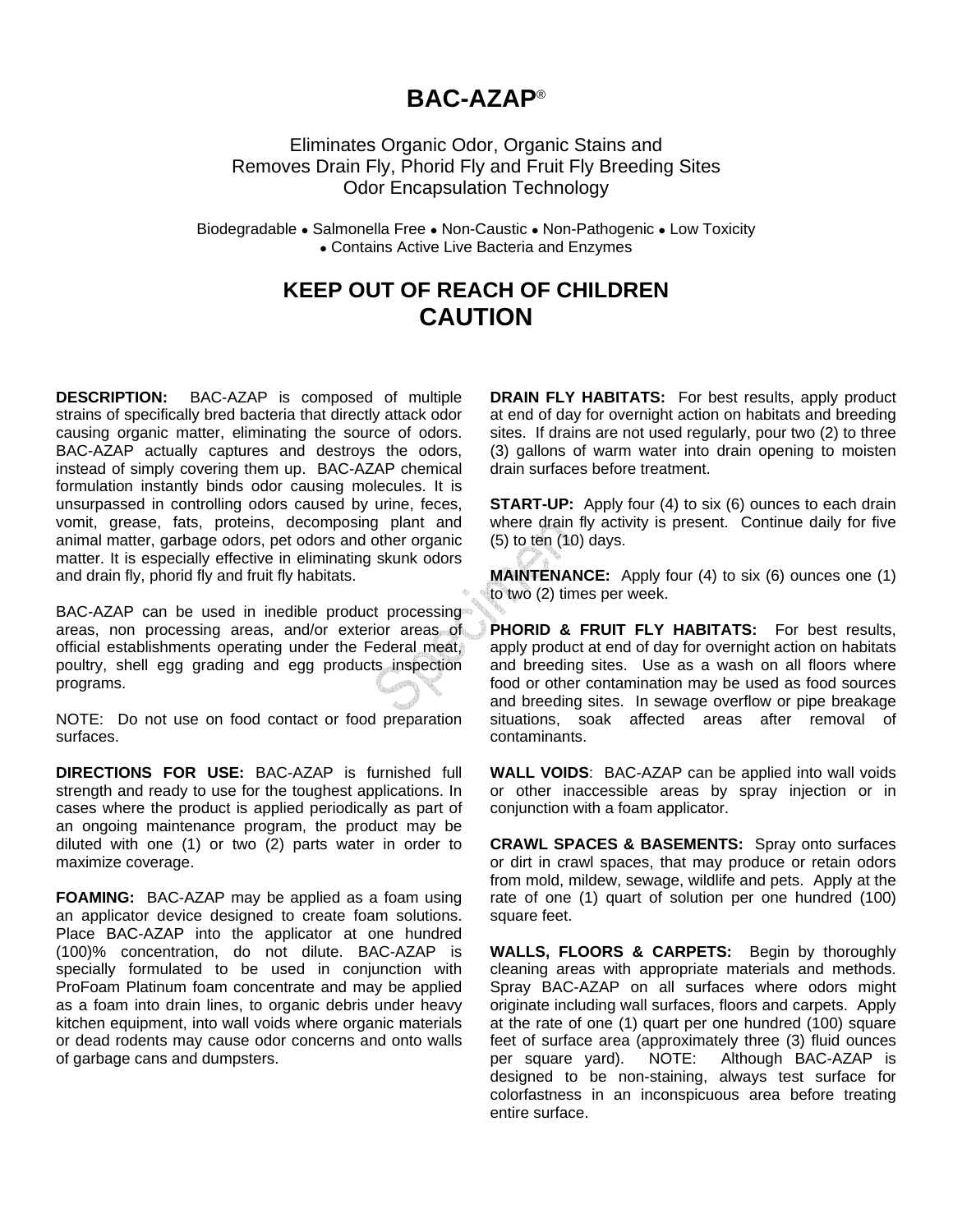## **BAC-AZAP**®

Eliminates Organic Odor, Organic Stains and Removes Drain Fly, Phorid Fly and Fruit Fly Breeding Sites Odor Encapsulation Technology

Biodegradable • Salmonella Free • Non-Caustic • Non-Pathogenic • Low Toxicity • Contains Active Live Bacteria and Enzymes

## **KEEP OUT OF REACH OF CHILDREN CAUTION**

**DESCRIPTION:** BAC-AZAP is composed of multiple strains of specifically bred bacteria that directly attack odor causing organic matter, eliminating the source of odors. BAC-AZAP actually captures and destroys the odors, instead of simply covering them up. BAC-AZAP chemical formulation instantly binds odor causing molecules. It is unsurpassed in controlling odors caused by urine, feces, vomit, grease, fats, proteins, decomposing plant and animal matter, garbage odors, pet odors and other organic matter. It is especially effective in eliminating skunk odors and drain fly, phorid fly and fruit fly habitats.

BAC-AZAP can be used in inedible product processing areas, non processing areas, and/or exterior areas of official establishments operating under the Federal meat, poultry, shell egg grading and egg products inspection programs.

NOTE: Do not use on food contact or food preparation surfaces.

**DIRECTIONS FOR USE:** BAC-AZAP is furnished full strength and ready to use for the toughest applications. In cases where the product is applied periodically as part of an ongoing maintenance program, the product may be diluted with one (1) or two (2) parts water in order to maximize coverage.

**FOAMING:** BAC-AZAP may be applied as a foam using an applicator device designed to create foam solutions. Place BAC-AZAP into the applicator at one hundred (100)% concentration, do not dilute. BAC-AZAP is specially formulated to be used in conjunction with ProFoam Platinum foam concentrate and may be applied as a foam into drain lines, to organic debris under heavy kitchen equipment, into wall voids where organic materials or dead rodents may cause odor concerns and onto walls of garbage cans and dumpsters.

**DRAIN FLY HABITATS:** For best results, apply product at end of day for overnight action on habitats and breeding sites. If drains are not used regularly, pour two (2) to three (3) gallons of warm water into drain opening to moisten drain surfaces before treatment.

**START-UP:** Apply four (4) to six (6) ounces to each drain where drain fly activity is present. Continue daily for five (5) to ten (10) days.

**MAINTENANCE:** Apply four (4) to six (6) ounces one (1) to two (2) times per week.

**PHORID & FRUIT FLY HABITATS:** For best results, apply product at end of day for overnight action on habitats and breeding sites. Use as a wash on all floors where food or other contamination may be used as food sources and breeding sites. In sewage overflow or pipe breakage situations, soak affected areas after removal of contaminants.

**WALL VOIDS**: BAC-AZAP can be applied into wall voids or other inaccessible areas by spray injection or in conjunction with a foam applicator.

**CRAWL SPACES & BASEMENTS:** Spray onto surfaces or dirt in crawl spaces, that may produce or retain odors from mold, mildew, sewage, wildlife and pets. Apply at the rate of one (1) quart of solution per one hundred (100) square feet.

**WALLS, FLOORS & CARPETS:** Begin by thoroughly cleaning areas with appropriate materials and methods. Spray BAC-AZAP on all surfaces where odors might originate including wall surfaces, floors and carpets. Apply at the rate of one (1) quart per one hundred (100) square feet of surface area (approximately three (3) fluid ounces per square yard). NOTE: Although BAC-AZAP is designed to be non-staining, always test surface for colorfastness in an inconspicuous area before treating entire surface.